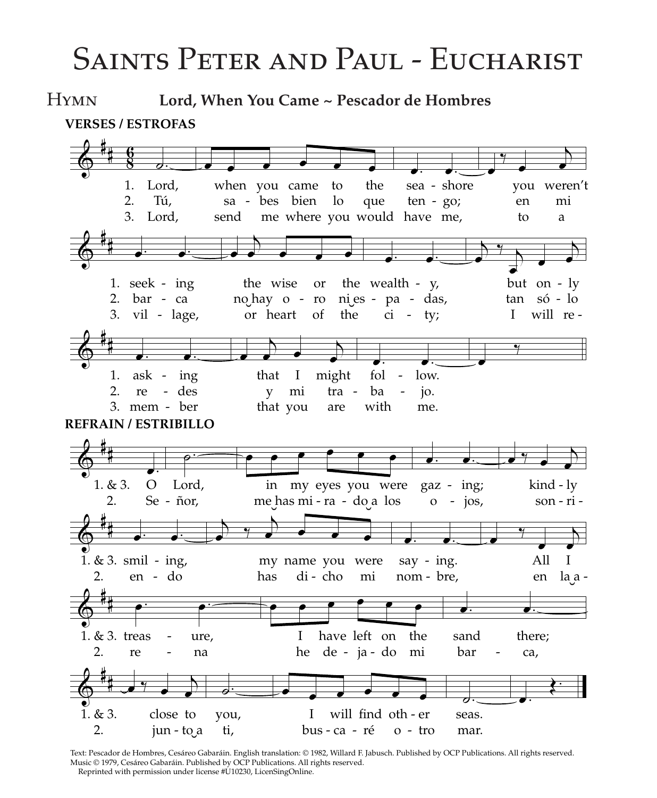# Saints Peter and Paul - Eucharist

Hymn **Lord, When You Came ~ Pescador de Hombres**



Music © 1979, Cesáreo Gabaráin. Published by OCP Publications. All rights reserved. Reprinted with permission under license #U10230, LicenSingOnline.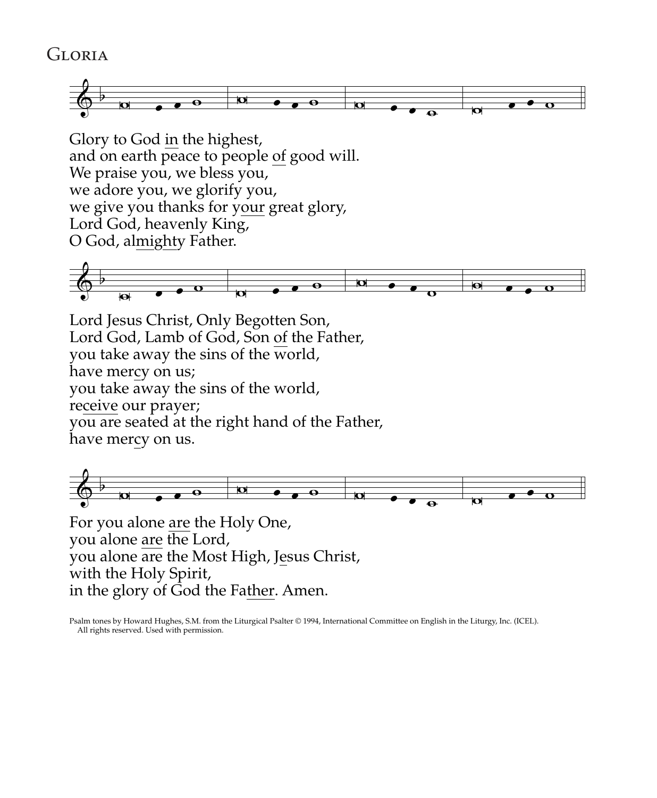### **GLORIA**



Glory to God in the highest, and on earth peace to people of good will. We praise you, we bless you, we adore you, we glorify you, we give you thanks for your great glory, Lord God, heavenly King, O God, almighty Father.



Lord Jesus Christ, Only Begotten Son, Lord God, Lamb of God, Son of the Father, you take away the sins of the world, have mercy on us; you take away the sins of the world, receive our prayer; you are seated at the right hand of the Father, have mercy on us.



For you alone are the Holy One, you alone are the Lord, you alone are the Most High, Jesus Christ, with the Holy Spirit, in the glory of God the Father. Amen.

Psalm tones by Howard Hughes, S.M. from the Liturgical Psalter © 1994, International Committee on English in the Liturgy, Inc. (ICEL). All rights reserved. Used with permission.